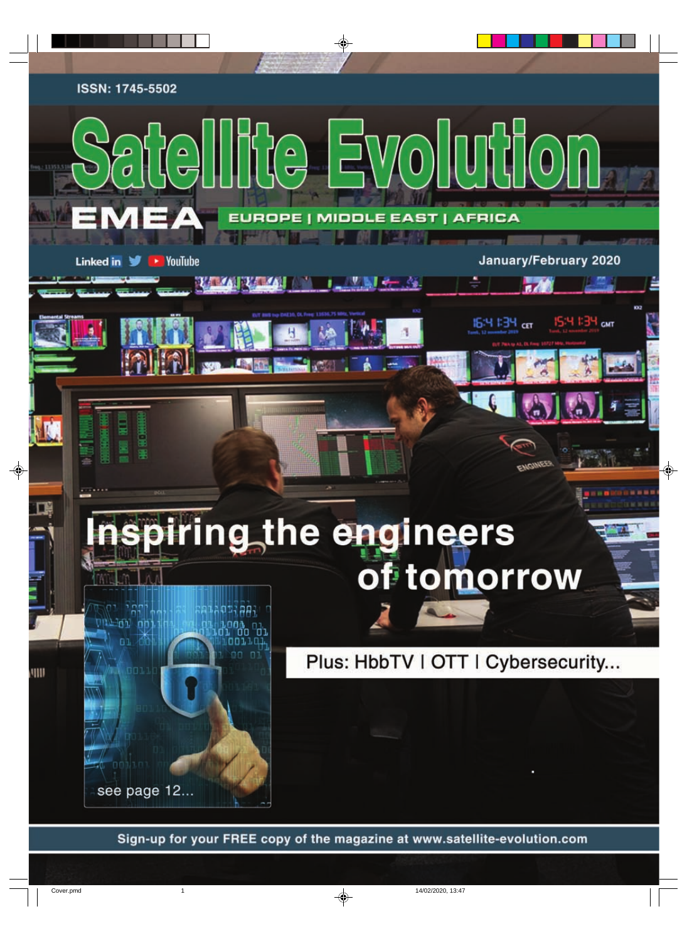ISSN: 1745-5502

**Linked in** 

III

v

 $\rightarrow$  YouTube



iring the engineers of tomorrow



Plus: HbbTV | OTT | Cybersecurity...

January/February 2020

IS:4 I:34 CMT

16:4 1:34 cm

Sign-up for your FREE copy of the magazine at www.satellite-evolution.com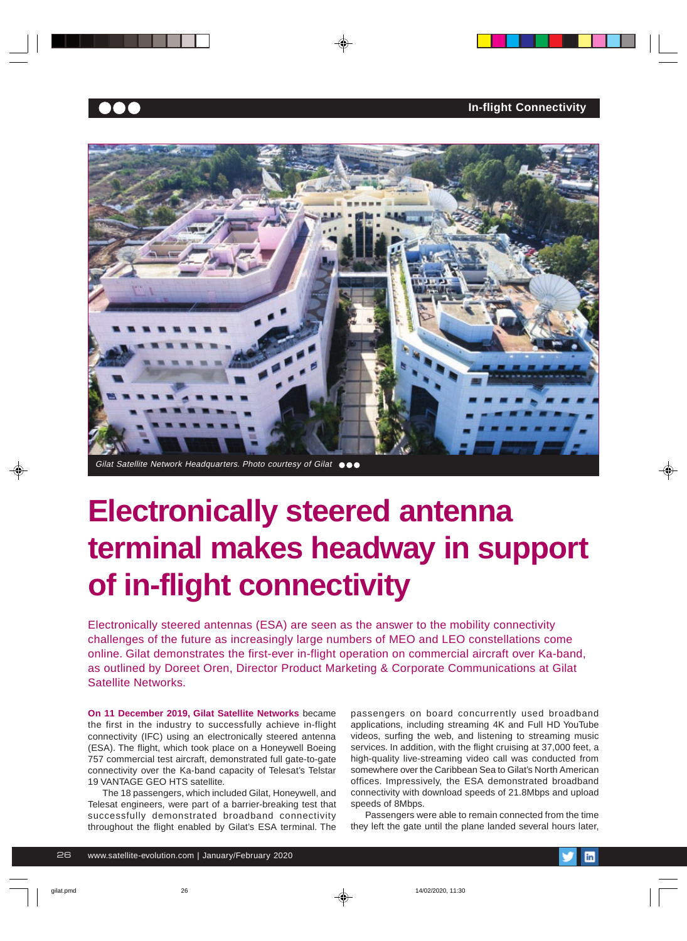



# **Electronically steered antenna terminal makes headway in support of in-flight connectivity**

Electronically steered antennas (ESA) are seen as the answer to the mobility connectivity challenges of the future as increasingly large numbers of MEO and LEO constellations come online. Gilat demonstrates the first-ever in-flight operation on commercial aircraft over Ka-band, as outlined by Doreet Oren, Director Product Marketing & Corporate Communications at Gilat Satellite Networks.

**On 11 December 2019, Gilat Satellite Networks** became the first in the industry to successfully achieve in-flight connectivity (IFC) using an electronically steered antenna (ESA). The flight, which took place on a Honeywell Boeing 757 commercial test aircraft, demonstrated full gate-to-gate connectivity over the Ka-band capacity of Telesat's Telstar 19 VANTAGE GEO HTS satellite.

The 18 passengers, which included Gilat, Honeywell, and Telesat engineers, were part of a barrier-breaking test that successfully demonstrated broadband connectivity throughout the flight enabled by Gilat's ESA terminal. The passengers on board concurrently used broadband applications, including streaming 4K and Full HD YouTube videos, surfing the web, and listening to streaming music services. In addition, with the flight cruising at 37,000 feet, a high-quality live-streaming video call was conducted from somewhere over the Caribbean Sea to Gilat's North American offices. Impressively, the ESA demonstrated broadband connectivity with download speeds of 21.8Mbps and upload speeds of 8Mbps.

Passengers were able to remain connected from the time they left the gate until the plane landed several hours later,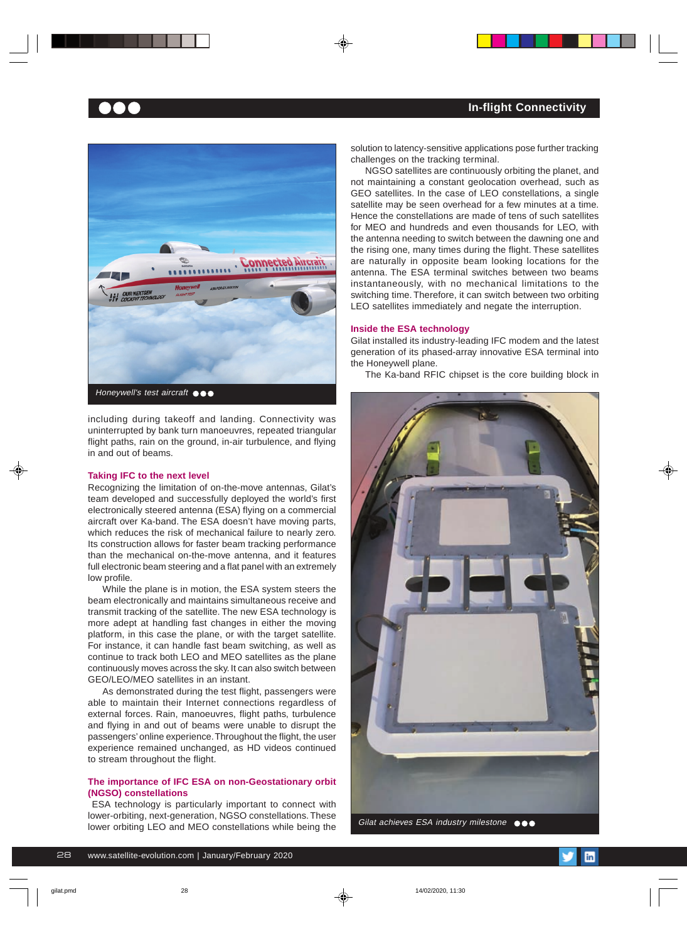

including during takeoff and landing. Connectivity was uninterrupted by bank turn manoeuvres, repeated triangular flight paths, rain on the ground, in-air turbulence, and flying in and out of beams.

#### **Taking IFC to the next level**

Recognizing the limitation of on-the-move antennas, Gilat's team developed and successfully deployed the world's first electronically steered antenna (ESA) flying on a commercial aircraft over Ka-band. The ESA doesn't have moving parts, which reduces the risk of mechanical failure to nearly zero. Its construction allows for faster beam tracking performance than the mechanical on-the-move antenna, and it features full electronic beam steering and a flat panel with an extremely low profile.

While the plane is in motion, the ESA system steers the beam electronically and maintains simultaneous receive and transmit tracking of the satellite. The new ESA technology is more adept at handling fast changes in either the moving platform, in this case the plane, or with the target satellite. For instance, it can handle fast beam switching, as well as continue to track both LEO and MEO satellites as the plane continuously moves across the sky. It can also switch between GEO/LEO/MEO satellites in an instant.

As demonstrated during the test flight, passengers were able to maintain their Internet connections regardless of external forces. Rain, manoeuvres, flight paths, turbulence and flying in and out of beams were unable to disrupt the passengers' online experience. Throughout the flight, the user experience remained unchanged, as HD videos continued to stream throughout the flight.

## **The importance of IFC ESA on non-Geostationary orbit (NGSO) constellations**

 ESA technology is particularly important to connect with lower-orbiting, next-generation, NGSO constellations. These lower orbiting LEO and MEO constellations while being the solution to latency-sensitive applications pose further tracking challenges on the tracking terminal.

NGSO satellites are continuously orbiting the planet, and not maintaining a constant geolocation overhead, such as GEO satellites. In the case of LEO constellations, a single satellite may be seen overhead for a few minutes at a time. Hence the constellations are made of tens of such satellites for MEO and hundreds and even thousands for LEO, with the antenna needing to switch between the dawning one and the rising one, many times during the flight. These satellites are naturally in opposite beam looking locations for the antenna. The ESA terminal switches between two beams instantaneously, with no mechanical limitations to the switching time. Therefore, it can switch between two orbiting LEO satellites immediately and negate the interruption.

#### **Inside the ESA technology**

Gilat installed its industry-leading IFC modem and the latest generation of its phased-array innovative ESA terminal into the Honeywell plane.

The Ka-band RFIC chipset is the core building block in



Gilat achieves ESA industry milestone  $\bullet \bullet \bullet$